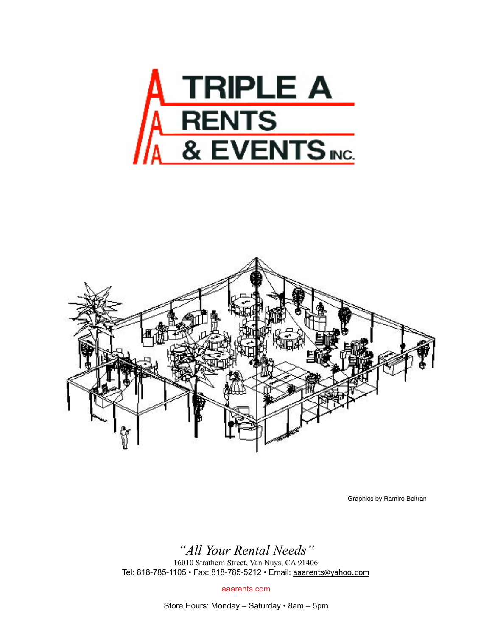



Graphics by Ramiro Beltran

## *"All Your Rental Needs"*

16010 Strathern Street, Van Nuys, CA 91406 Tel: 818-785-1105 • Fax: 818-785-5212 • Email: [aaarents@yahoo.com](mailto:aaarents@yahoo.com)

aaarents.com

Store Hours: Monday – Saturday • 8am – 5pm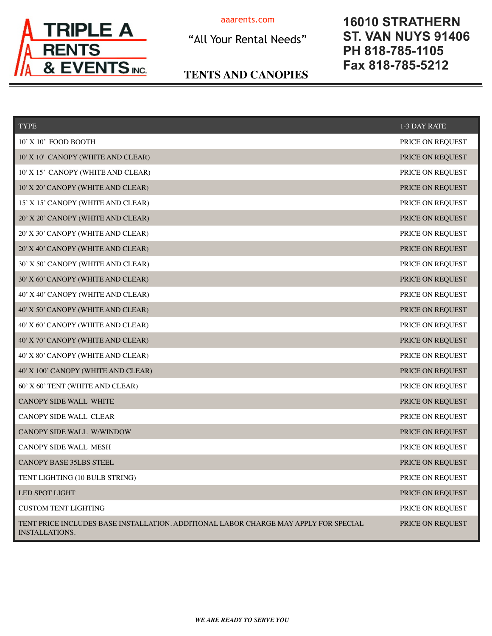

[aaarents.com](http://aaarents.com) 

"All Your Rental Needs"

## **16010 STRATHERN ST. VAN NUYS 91406 PH 818-785-1105 Fax 818-785-5212**

### **TENTS AND CANOPIES**

| <b>TYPE</b>                                                                                                   | 1-3 DAY RATE     |
|---------------------------------------------------------------------------------------------------------------|------------------|
| 10' X 10' FOOD BOOTH                                                                                          | PRICE ON REQUEST |
| 10' X 10' CANOPY (WHITE AND CLEAR)                                                                            | PRICE ON REQUEST |
| 10' X 15' CANOPY (WHITE AND CLEAR)                                                                            | PRICE ON REQUEST |
| 10' X 20' CANOPY (WHITE AND CLEAR)                                                                            | PRICE ON REQUEST |
| 15' X 15' CANOPY (WHITE AND CLEAR)                                                                            | PRICE ON REQUEST |
| 20' X 20' CANOPY (WHITE AND CLEAR)                                                                            | PRICE ON REQUEST |
| 20' X 30' CANOPY (WHITE AND CLEAR)                                                                            | PRICE ON REQUEST |
| 20' X 40' CANOPY (WHITE AND CLEAR)                                                                            | PRICE ON REQUEST |
| 30' X 50' CANOPY (WHITE AND CLEAR)                                                                            | PRICE ON REQUEST |
| 30' X 60' CANOPY (WHITE AND CLEAR)                                                                            | PRICE ON REQUEST |
| 40' X 40' CANOPY (WHITE AND CLEAR)                                                                            | PRICE ON REQUEST |
| 40' X 50' CANOPY (WHITE AND CLEAR)                                                                            | PRICE ON REQUEST |
| 40' X 60' CANOPY (WHITE AND CLEAR)                                                                            | PRICE ON REQUEST |
| 40' X 70' CANOPY (WHITE AND CLEAR)                                                                            | PRICE ON REQUEST |
| 40' X 80' CANOPY (WHITE AND CLEAR)                                                                            | PRICE ON REQUEST |
| 40' X 100' CANOPY (WHITE AND CLEAR)                                                                           | PRICE ON REQUEST |
| 60' X 60' TENT (WHITE AND CLEAR)                                                                              | PRICE ON REQUEST |
| <b>CANOPY SIDE WALL WHITE</b>                                                                                 | PRICE ON REQUEST |
| CANOPY SIDE WALL CLEAR                                                                                        | PRICE ON REQUEST |
| CANOPY SIDE WALL W/WINDOW                                                                                     | PRICE ON REQUEST |
| CANOPY SIDE WALL MESH                                                                                         | PRICE ON REQUEST |
| <b>CANOPY BASE 35LBS STEEL</b>                                                                                | PRICE ON REQUEST |
| TENT LIGHTING (10 BULB STRING)                                                                                | PRICE ON REQUEST |
| LED SPOT LIGHT                                                                                                | PRICE ON REQUEST |
| <b>CUSTOM TENT LIGHTING</b>                                                                                   | PRICE ON REQUEST |
| TENT PRICE INCLUDES BASE INSTALLATION. ADDITIONAL LABOR CHARGE MAY APPLY FOR SPECIAL<br><b>INSTALLATIONS.</b> | PRICE ON REQUEST |